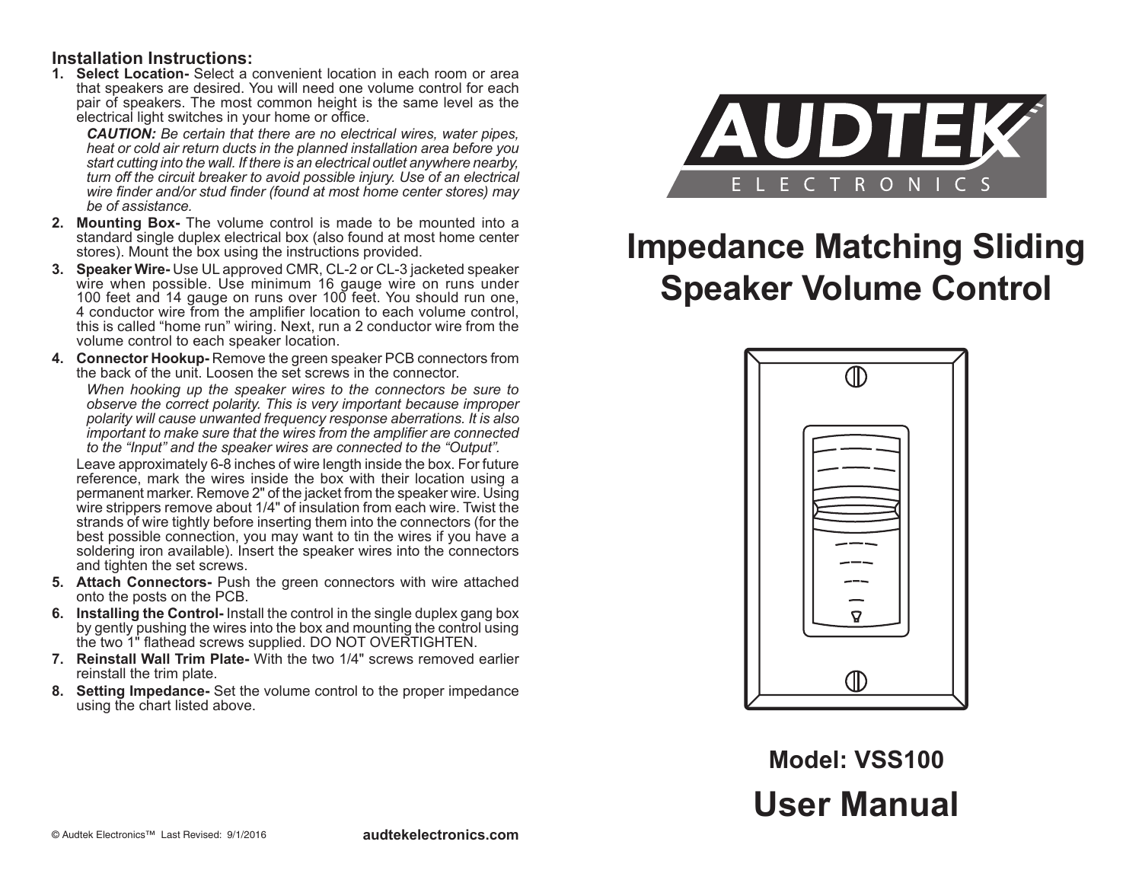#### **Installation Instructions:**

**1. Select Location-** Select a convenient location in each room or area that speakers are desired. You will need one volume control for each pair of speakers. The most common height is the same level as the electrical light switches in your home or office.

*CAUTION: Be certain that there are no electrical wires, water pipes, heat or cold air return ducts in the planned installation area before you start cutting into the wall. If there is an electrical outlet anywhere nearby, turn off the circuit breaker to avoid possible injury. Use of an electrical wire finder and/or stud finder (found at most home center stores) may be of assistance.*

- **2. Mounting Box-** The volume control is made to be mounted into a standard single duplex electrical box (also found at most home center stores). Mount the box using the instructions provided.
- **3. Speaker Wire-** Use UL approved CMR, CL-2 or CL-3 jacketed speaker wire when possible. Use minimum 16 gauge wire on runs under 100 feet and 14 gauge on runs over 100 feet. You should run one, 4 conductor wire from the amplifier location to each volume control, this is called "home run" wiring. Next, run a 2 conductor wire from the volume control to each speaker location.
- **4. Connector Hookup-** Remove the green speaker PCB connectors from the back of the unit. Loosen the set screws in the connector.

*When hooking up the speaker wires to the connectors be sure to observe the correct polarity. This is very important because improper polarity will cause unwanted frequency response aberrations. It is also important to make sure that the wires from the amplifier are connected to the "Input" and the speaker wires are connected to the "Output".*

Leave approximately 6-8 inches of wire length inside the box. For future reference, mark the wires inside the box with their location using a permanent marker. Remove 2" of the jacket from the speaker wire. Using wire strippers remove about 1/4" of insulation from each wire. Twist the strands of wire tightly before inserting them into the connectors (for the best possible connection, you may want to tin the wires if you have a soldering iron available). Insert the speaker wires into the connectors and tighten the set screws.

- **5. Attach Connectors-** Push the green connectors with wire attached onto the posts on the PCB.
- **6. Installing the Control-** Install the control in the single duplex gang box by gently pushing the wires into the box and mounting the control using the two 1" flathead screws supplied. DO NOT OVERTIGHTEN.
- **7. Reinstall Wall Trim Plate-** With the two 1/4" screws removed earlier reinstall the trim plate.
- **8. Setting Impedance-** Set the volume control to the proper impedance using the chart listed above.



# **Impedance Matching Sliding Speaker Volume Control**



## **User Manual Model: VSS100**